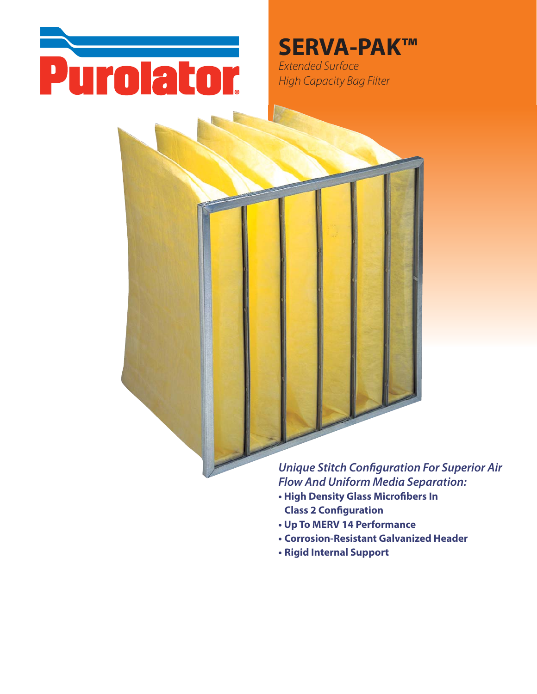

## **SERVA-PAK™**

Extended Surface **High Capacity Bag Filter** 



### **Unique Stitch Configuration For Superior Air Flow And Uniform Media Separation:**

- High Density Glass Microfibers In **Class 2 Configuration**
- Up To MERV 14 Performance
- Corrosion-Resistant Galvanized Header
- Rigid Internal Support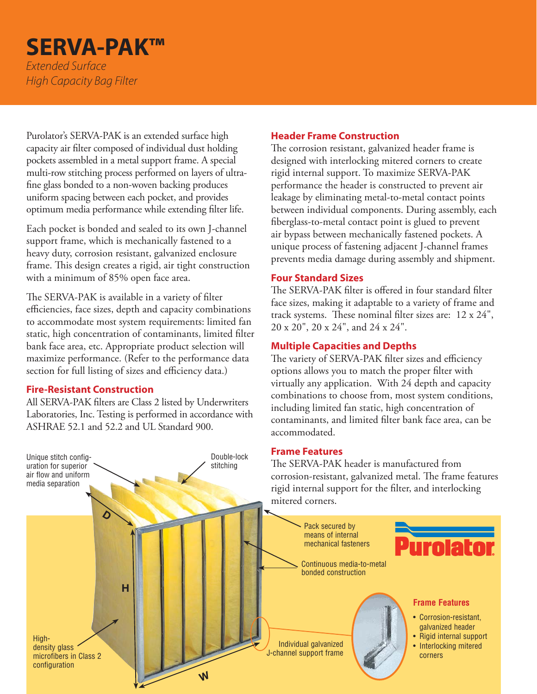## **SERVA-PAK™** *Extended Surface*

*High Capacity Bag Filter*

Purolator's SERVA-PAK is an extended surface high capacity air filter composed of individual dust holding pockets assembled in a metal support frame. A special multi-row stitching process performed on layers of ultrafine glass bonded to a non-woven backing produces uniform spacing between each pocket, and provides optimum media performance while extending filter life.

Each pocket is bonded and sealed to its own J-channel support frame, which is mechanically fastened to a heavy duty, corrosion resistant, galvanized enclosure frame. This design creates a rigid, air tight construction with a minimum of 85% open face area.

The SERVA-PAK is available in a variety of filter efficiencies, face sizes, depth and capacity combinations to accommodate most system requirements: limited fan static, high concentration of contaminants, limited filter bank face area, etc. Appropriate product selection will maximize performance. (Refer to the performance data section for full listing of sizes and efficiency data.)

#### **Fire-Resistant Construction**

Unique stitch configuration for superior air flow and uniform media separation

All SERVA-PAK filters are Class 2 listed by Underwriters Laboratories, Inc. Testing is performed in accordance with ASHRAE 52.1 and 52.2 and UL Standard 900.

#### **Header Frame Construction**

The corrosion resistant, galvanized header frame is designed with interlocking mitered corners to create rigid internal support. To maximize SERVA-PAK performance the header is constructed to prevent air leakage by eliminating metal-to-metal contact points between individual components. During assembly, each fiberglass-to-metal contact point is glued to prevent air bypass between mechanically fastened pockets. A unique process of fastening adjacent J-channel frames prevents media damage during assembly and shipment.

#### **Four Standard Sizes**

The SERVA-PAK filter is offered in four standard filter face sizes, making it adaptable to a variety of frame and track systems. These nominal filter sizes are: 12 x 24", 20 x 20", 20 x 24", and 24 x 24".

#### **Multiple Capacities and Depths**

The variety of SERVA-PAK filter sizes and efficiency options allows you to match the proper filter with virtually any application. With 24 depth and capacity combinations to choose from, most system conditions, including limited fan static, high concentration of contaminants, and limited filter bank face area, can be accommodated.

#### **Frame Features**

The SERVA-PAK header is manufactured from corrosion-resistant, galvanized metal. The frame features rigid internal support for the filter, and interlocking mitered corners.

**D** Pack secured by means of internal urolato mechanical fasteners Continuous media-to-metal bonded construction **H Frame Features** • Corrosion-resistant, galvanized header • Rigid internal support High-Individual galvanized • Interlocking mitered density glass J-channel support frame microfibers in Class 2 cornersconfiguration **W**

Double-lock stitching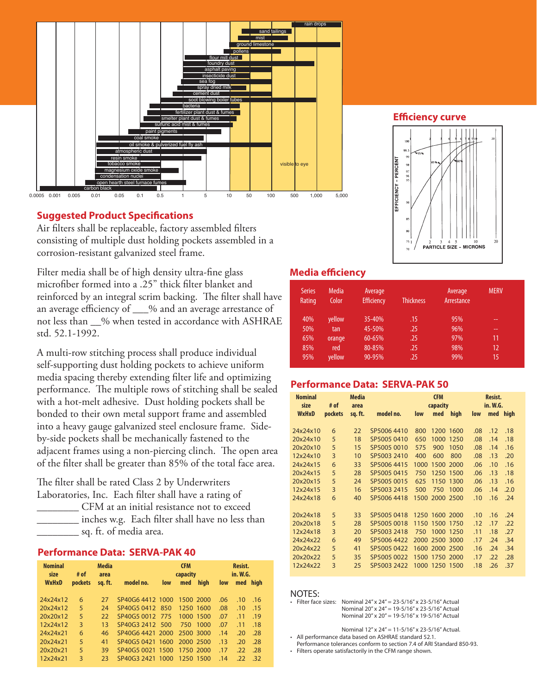

#### **Suggested Product Specifications**

Air filters shall be replaceable, factory assembled filters consisting of multiple dust holding pockets assembled in a corrosion-resistant galvanized steel frame.

Filter media shall be of high density ultra-fine glass microfiber formed into a .25" thick filter blanket and reinforced by an integral scrim backing. The filter shall have an average efficiency of  $\%$  and an average arrestance of not less than \_\_% when tested in accordance with ASHRAE std. 52.1-1992.

A multi-row stitching process shall produce individual self-supporting dust holding pockets to achieve uniform media spacing thereby extending filter life and optimizing performance. The multiple rows of stitching shall be sealed with a hot-melt adhesive. Dust holding pockets shall be bonded to their own metal support frame and assembled into a heavy gauge galvanized steel enclosure frame. Sideby-side pockets shall be mechanically fastened to the adjacent frames using a non-piercing clinch. The open area of the filter shall be greater than 85% of the total face area.

The filter shall be rated Class 2 by Underwriters Laboratories, Inc. Each filter shall have a rating of \_\_\_\_\_\_\_\_ CFM at an initial resistance not to exceed inches w.g. Each filter shall have no less than \_\_\_\_\_\_\_\_ sq. ft. of media area.

#### **Performance Data: SERVA-PAK 40**

| <b>Nominal</b><br>size | # of    | <b>Media</b><br>area |                  | <b>CFM</b><br>capacity |           |      | Resist.<br>in. W.G. |     |          |
|------------------------|---------|----------------------|------------------|------------------------|-----------|------|---------------------|-----|----------|
| <b>WxHxD</b>           | pockets | sq. ft.              | model no.        | low                    | med       | high | low                 |     | med high |
| 24x24x12               | 6       | 27                   | SP40G6 4412 1000 |                        | 1500 2000 |      | .06                 | .10 | .16      |
| 20x24x12               | 5       | 24                   | SP40G5 0412      | 850                    | 1250 1600 |      | .08                 | .10 | .15      |
| 20x20x12               | 5       | 22                   | SP40G5 0012      | 775                    | 1000 1500 |      | .07                 | .11 | .19      |
| 12x24x12               | 3       | 13                   | SP40G3 2412 500  |                        | 750       | 1000 | .07                 | .11 | .18      |
| 24x24x21               | 6       | 46                   | SP40G6 4421 2000 |                        | 2500 3000 |      | .14                 | .20 | .28      |
| 20x24x21               | 5       | 41                   | SP40G5 0421 1600 |                        | 2000 2500 |      | .13                 | .20 | .28      |
| 20x20x21               | 5       | 39                   | SP40G5 0021 1500 |                        | 1750 2000 |      | .17                 | .22 | .28      |
| 12x24x21               | 3       | 23                   | SP40G3 2421 1000 |                        | 1250 1500 |      | .14                 | .22 | -32      |

#### **Media efficiency**

| <b>Series</b><br>Rating | Media<br>Color | Average<br><b>Efficiency</b> | <b>Thickness</b> | Average<br>Arrestance | <b>MERV</b> |
|-------------------------|----------------|------------------------------|------------------|-----------------------|-------------|
| 40%                     | yellow         | 35-40%                       | .15              | 95%                   | --          |
| 50%                     | tan            | 45-50%                       | .25              | 96%                   | --          |
| 65%                     | orange         | 60-65%                       | .25              | 97%                   | 11          |
| 85%                     | red            | 80-85%                       | .25              | 98%                   | 12          |
| 95%                     | yellow         | 90-95%                       | .25              | 99%                   | 15          |

 $\overline{\mathbf{v}}$ 

 $70$ 

**PARTICLE SIZE - MICRONS** 

#### **Performance Data: SERVA-PAK 50**

| <b>Nominal</b><br>size | # of    | <b>Media</b><br>area | <b>CFM</b><br>capacity |      |                |      | Resist.<br>in. W.G. |     |          |
|------------------------|---------|----------------------|------------------------|------|----------------|------|---------------------|-----|----------|
| <b>WxHxD</b>           | pockets | sq.ft.               | model no.              | low  | med            | high | low                 |     | med high |
| 24x24x10               | 6       |                      | SP5006 4410            | 800  | 1200           | 1600 | .08                 | .12 | .18      |
|                        |         | 22                   |                        |      |                |      |                     |     |          |
| 20x24x10               | 5       | 18                   | SP5005 0410            | 650  | 1000           | 1250 | .08                 | .14 | .18      |
| 20x20x10               | 5       | 15                   | SP5005 0010            | 575  | 900            | 1050 | .08                 | .14 | .16      |
| 12x24x10               | 3       | 10                   | SP5003 2410            | 400  | 600            | 800  | .08                 | .13 | .20      |
| 24x24x15               | 6       | 33                   | SP5006 4415            | 1000 | 1500           | 2000 | .06                 | .10 | .16      |
| 20x24x15               | 5       | 28                   | SP5005 0415            | 750  | 1250           | 1500 | .06                 | .13 | .18      |
| 20x20x15               | 5       | 24                   | SP5005 0015            | 625  | 1150           | 1300 | .06                 | .13 | .16      |
| 12x24x15               | 3       | 16                   | SP5003 2415            | 500  | 750            | 1000 | .06                 | .14 | .2.0     |
| 24x24x18               | 6       | 40                   | SP50064418             | 1500 | 2000           | 2500 | .10                 | .16 | .24      |
|                        |         |                      |                        |      |                |      |                     |     |          |
| 20x24x18               | 5       | 33                   | SP5005 0418            |      | 1250 1600 2000 |      | .10                 | .16 | .24      |
| 20x20x18               | 5       | 28                   | SP5005 0018            | 1150 | 1500           | 1750 | .12                 | .17 | .22      |
| 12x24x18               | 3       | 20                   | SP5003 2418            | 750  | 1000           | 1250 | .11                 | .18 | .27      |
| 24x24x22               | 6       | 49                   | SP5006 4422            | 2000 | 2500 3000      |      | .17                 | .24 | .34      |
| 20x24x22               | 5       | 41                   | SP5005 0422            | 1600 | 2000 2500      |      | .16                 | .24 | .34      |
| 20x20x22               | 5       | 35                   | SP5005 0022            | 1500 | 1750           | 2000 | .17                 | .22 | .28      |
| 12x24x22               | 3       | 25                   | SP5003 2422            | 1000 | 1250           | 1500 | .18                 | .26 | .37      |

#### NOTES:

Filter face sizes: Nominal  $24''$  x  $24'' = 23-5/16''$  x 23-5/16" Actual Nominal 20" x 24" = 19-5/16" x 23-5/16" Actual Nominal 20" x 20" = 19-5/16" x 19-5/16" Actual

Nominal 12" x 24" = 11-5/16" x 23-5/16" Actual.

All performance data based on ASHRAE standard 52.1.

Performance tolerances conform to section 7.4 of ARI Standard 850-93.

• Filters operate satisfactorily in the CFM range shown.

**Efficiency curve** 

 $99.$ 

EFFICIENCY - PERCENT  $\frac{9}{9}$